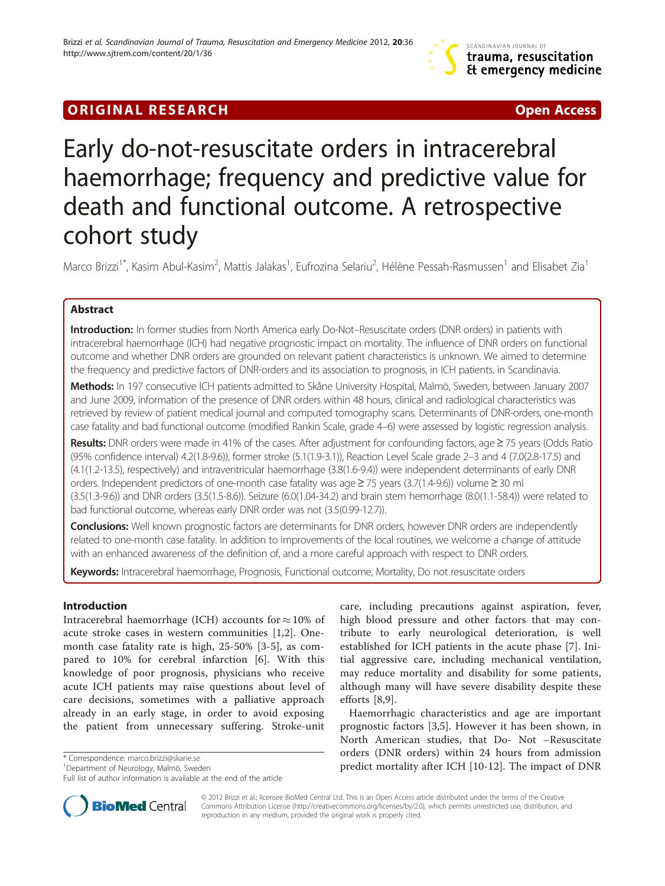## **ORIGINAL RESEARCH CONSUMING A RESEARCH CONSUMING A RESEARCH**

# Early do-not-resuscitate orders in intracerebral haemorrhage; frequency and predictive value for death and functional outcome. A retrospective cohort study

Marco Brizzi<sup>1\*</sup>, Kasim Abul-Kasim<sup>2</sup>, Mattis Jalakas<sup>1</sup>, Eufrozina Selariu<sup>2</sup>, Hélène Pessah-Rasmussen<sup>1</sup> and Elisabet Zia<sup>1</sup>

## Abstract

Introduction: In former studies from North America early Do-Not–Resuscitate orders (DNR orders) in patients with intracerebral haemorrhage (ICH) had negative prognostic impact on mortality. The influence of DNR orders on functional outcome and whether DNR orders are grounded on relevant patient characteristics is unknown. We aimed to determine the frequency and predictive factors of DNR-orders and its association to prognosis, in ICH patients, in Scandinavia.

Methods: In 197 consecutive ICH patients admitted to Skåne University Hospital, Malmö, Sweden, between January 2007 and June 2009, information of the presence of DNR orders within 48 hours, clinical and radiological characteristics was retrieved by review of patient medical journal and computed tomography scans. Determinants of DNR-orders, one-month case fatality and bad functional outcome (modified Rankin Scale, grade 4–6) were assessed by logistic regression analysis.

Results: DNR orders were made in 41% of the cases. After adjustment for confounding factors, age ≥75 years (Odds Ratio (95% confidence interval) 4.2(1.8-9.6)), former stroke (5.1(1.9-3.1)), Reaction Level Scale grade 2–3 and 4 (7.0(2.8-17.5) and (4.1(1.2-13.5), respectively) and intraventricular haemorrhage (3.8(1.6-9.4)) were independent determinants of early DNR orders. Independent predictors of one-month case fatality was age≥75 years (3.7(1.4-9.6)) volume≥30 ml (3.5(1.3-9.6)) and DNR orders (3.5(1.5-8.6)). Seizure (6.0(1.04-34.2) and brain stem hemorrhage (8.0(1.1-58.4)) were related to bad functional outcome, whereas early DNR order was not (3.5(0.99-12.7)).

Conclusions: Well known prognostic factors are determinants for DNR orders, however DNR orders are independently related to one-month case fatality. In addition to improvements of the local routines, we welcome a change of attitude with an enhanced awareness of the definition of, and a more careful approach with respect to DNR orders.

Keywords: Intracerebral haemorrhage, Prognosis, Functional outcome, Mortality, Do not resuscitate orders

### Introduction

Intracerebral haemorrhage (ICH) accounts for  $\approx 10\%$  of acute stroke cases in western communities [[1,2\]](#page-5-0). Onemonth case fatality rate is high, 25-50% [[3-5](#page-5-0)], as compared to 10% for cerebral infarction [\[6](#page-5-0)]. With this knowledge of poor prognosis, physicians who receive acute ICH patients may raise questions about level of care decisions, sometimes with a palliative approach already in an early stage, in order to avoid exposing the patient from unnecessary suffering. Stroke-unit

<sup>1</sup>Department of Neurology, Malmö, Sweden

Full list of author information is available at the end of the article

care, including precautions against aspiration, fever, high blood pressure and other factors that may contribute to early neurological deterioration, is well established for ICH patients in the acute phase [[7\]](#page-5-0). Initial aggressive care, including mechanical ventilation, may reduce mortality and disability for some patients, although many will have severe disability despite these efforts [[8,9\]](#page-5-0).

Haemorrhagic characteristics and age are important prognostic factors [[3,5\]](#page-5-0). However it has been shown, in North American studies, that Do- Not –Resuscitate orders (DNR orders) within 24 hours from admission \* Correspondence: [marco.brizzi@skane.se](mailto:marco.brizzi@skane.se) **1200 community after ICH in the impact of DNR** \* Correspondence: marco.brizzi@skane.se 10000 community after ICH in the impact of DNR \* 10001 contrality after ICH in [10-12](#page-5-0). The impa



© 2012 Brizzi et al.; licensee BioMed Central Ltd. This is an Open Access article distributed under the terms of the Creative Commons Attribution License ([http://creativecommons.org/licenses/by/2.0\)](http://creativecommons.org/licenses/by/2.0), which permits unrestricted use, distribution, and reproduction in any medium, provided the original work is properly cited.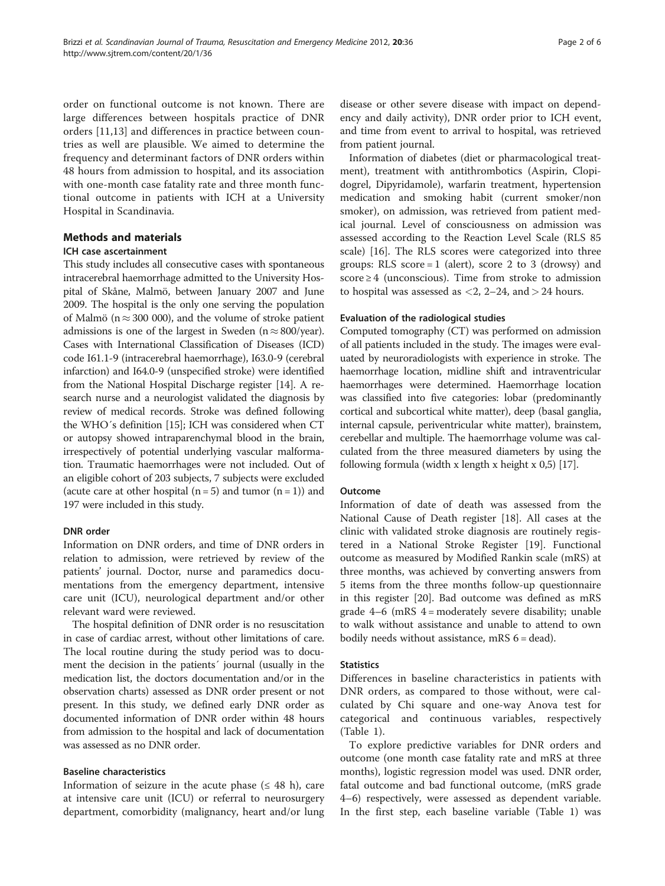order on functional outcome is not known. There are large differences between hospitals practice of DNR orders [\[11,13](#page-5-0)] and differences in practice between countries as well are plausible. We aimed to determine the frequency and determinant factors of DNR orders within 48 hours from admission to hospital, and its association with one-month case fatality rate and three month functional outcome in patients with ICH at a University Hospital in Scandinavia.

#### Methods and materials

#### ICH case ascertainment

This study includes all consecutive cases with spontaneous intracerebral haemorrhage admitted to the University Hospital of Skåne, Malmö, between January 2007 and June 2009. The hospital is the only one serving the population of Malmö ( $n \approx 300 000$ ), and the volume of stroke patient admissions is one of the largest in Sweden ( $n \approx 800$ /year). Cases with International Classification of Diseases (ICD) code I61.1-9 (intracerebral haemorrhage), I63.0-9 (cerebral infarction) and I64.0-9 (unspecified stroke) were identified from the National Hospital Discharge register [\[14\]](#page-5-0). A research nurse and a neurologist validated the diagnosis by review of medical records. Stroke was defined following the WHO´s definition [\[15\]](#page-5-0); ICH was considered when CT or autopsy showed intraparenchymal blood in the brain, irrespectively of potential underlying vascular malformation. Traumatic haemorrhages were not included. Out of an eligible cohort of 203 subjects, 7 subjects were excluded (acute care at other hospital  $(n=5)$  and tumor  $(n=1)$ ) and 197 were included in this study.

#### DNR order

Information on DNR orders, and time of DNR orders in relation to admission, were retrieved by review of the patients' journal. Doctor, nurse and paramedics documentations from the emergency department, intensive care unit (ICU), neurological department and/or other relevant ward were reviewed.

The hospital definition of DNR order is no resuscitation in case of cardiac arrest, without other limitations of care. The local routine during the study period was to document the decision in the patients´ journal (usually in the medication list, the doctors documentation and/or in the observation charts) assessed as DNR order present or not present. In this study, we defined early DNR order as documented information of DNR order within 48 hours from admission to the hospital and lack of documentation was assessed as no DNR order.

#### Baseline characteristics

Information of seizure in the acute phase ( $\leq 48$  h), care at intensive care unit (ICU) or referral to neurosurgery department, comorbidity (malignancy, heart and/or lung disease or other severe disease with impact on dependency and daily activity), DNR order prior to ICH event, and time from event to arrival to hospital, was retrieved from patient journal.

Information of diabetes (diet or pharmacological treatment), treatment with antithrombotics (Aspirin, Clopidogrel, Dipyridamole), warfarin treatment, hypertension medication and smoking habit (current smoker/non smoker), on admission, was retrieved from patient medical journal. Level of consciousness on admission was assessed according to the Reaction Level Scale (RLS 85 scale) [[16](#page-5-0)]. The RLS scores were categorized into three groups: RLS score  $= 1$  (alert), score 2 to 3 (drowsy) and score  $\geq$  4 (unconscious). Time from stroke to admission to hospital was assessed as  $<$ 2, 2–24, and  $>$  24 hours.

#### Evaluation of the radiological studies

Computed tomography (CT) was performed on admission of all patients included in the study. The images were evaluated by neuroradiologists with experience in stroke. The haemorrhage location, midline shift and intraventricular haemorrhages were determined. Haemorrhage location was classified into five categories: lobar (predominantly cortical and subcortical white matter), deep (basal ganglia, internal capsule, periventricular white matter), brainstem, cerebellar and multiple. The haemorrhage volume was calculated from the three measured diameters by using the following formula (width x length x height x 0,5) [[17](#page-5-0)].

#### Outcome

Information of date of death was assessed from the National Cause of Death register [\[18](#page-5-0)]. All cases at the clinic with validated stroke diagnosis are routinely registered in a National Stroke Register [[19\]](#page-5-0). Functional outcome as measured by Modified Rankin scale (mRS) at three months, was achieved by converting answers from 5 items from the three months follow-up questionnaire in this register [[20\]](#page-5-0). Bad outcome was defined as mRS grade  $4-6$  (mRS  $4 =$  moderately severe disability; unable to walk without assistance and unable to attend to own bodily needs without assistance, mRS  $6 = dead$ ).

#### **Statistics**

Differences in baseline characteristics in patients with DNR orders, as compared to those without, were calculated by Chi square and one-way Anova test for categorical and continuous variables, respectively (Table [1](#page-2-0)).

To explore predictive variables for DNR orders and outcome (one month case fatality rate and mRS at three months), logistic regression model was used. DNR order, fatal outcome and bad functional outcome, (mRS grade 4–6) respectively, were assessed as dependent variable. In the first step, each baseline variable (Table [1](#page-2-0)) was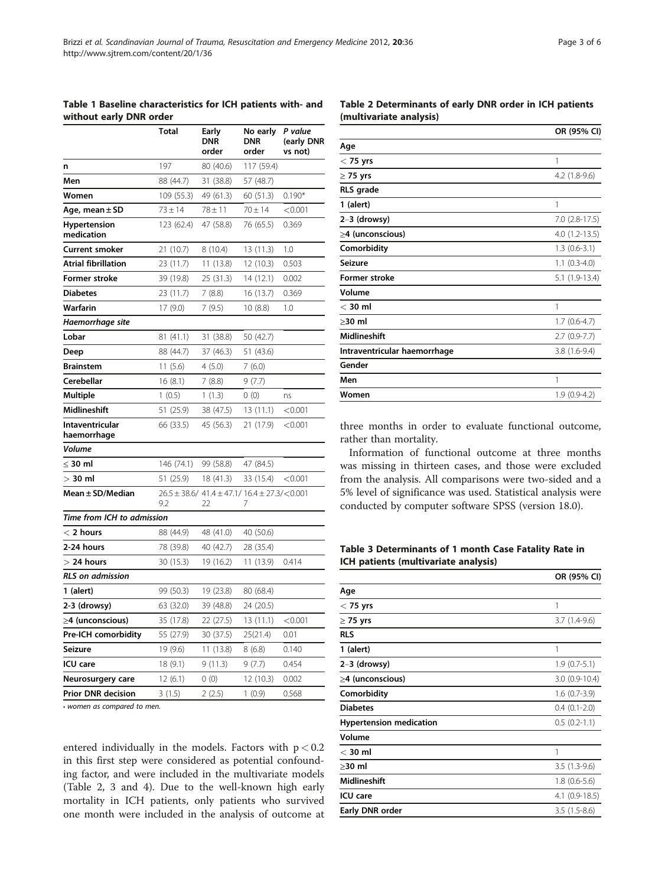<span id="page-2-0"></span>

|                                   | <b>Total</b> | Early<br><b>DNR</b> | No early<br><b>DNR</b>                          | P value<br>(early DNR |
|-----------------------------------|--------------|---------------------|-------------------------------------------------|-----------------------|
|                                   |              | order               | order                                           | vs not)               |
| n                                 | 197          | 80 (40.6)           | 117 (59.4)                                      |                       |
| Men                               | 88 (44.7)    | 31 (38.8)           | 57 (48.7)                                       |                       |
| Women                             | 109 (55.3)   | 49 (61.3)           | 60 (51.3)                                       | $0.190*$              |
| Age, mean ± SD                    | $73 + 14$    | $78 + 11$           | $70 + 14$                                       | < 0.001               |
| <b>Hypertension</b><br>medication | 123 (62.4)   | 47 (58.8)           | 76 (65.5)                                       | 0.369                 |
| Current smoker                    | 21 (10.7)    | 8 (10.4)            | 13 (11.3)                                       | 1.0                   |
| <b>Atrial fibrillation</b>        | 23 (11.7)    | 11(13.8)            | 12 (10.3)                                       | 0.503                 |
| Former stroke                     | 39 (19.8)    | 25 (31.3)           | 14 (12.1)                                       | 0.002                 |
| <b>Diabetes</b>                   | 23 (11.7)    | 7(8.8)              | 16 (13.7)                                       | 0.369                 |
| Warfarin                          | 17 (9.0)     | 7 (9.5)             | 10 (8.8)                                        | 1.0                   |
| Haemorrhage site                  |              |                     |                                                 |                       |
| Lobar                             | 81 (41.1)    | 31 (38.8)           | 50 (42.7)                                       |                       |
| Deep                              | 88 (44.7)    | 37 (46.3)           | 51 (43.6)                                       |                       |
| <b>Brainstem</b>                  | 11(5.6)      | 4(5.0)              | 7(6.0)                                          |                       |
| Cerebellar                        | 16(8.1)      | 7(8.8)              | 9(7.7)                                          |                       |
| Multiple                          | 1(0.5)       | 1(1.3)              | 0(0)                                            | ns                    |
| Midlineshift                      | 51 (25.9)    | 38 (47.5)           | 13 (11.1)                                       | < 0.001               |
| Intaventricular<br>haemorrhage    | 66 (33.5)    | 45 (56.3)           | 21 (17.9)                                       | < 0.001               |
| Volume                            |              |                     |                                                 |                       |
| $\leq$ 30 ml                      | 146 (74.1)   | 99 (58.8)           | 47 (84.5)                                       |                       |
| $>$ 30 ml                         | 51 (25.9)    | 18 (41.3)           | 33 (15.4)                                       | < 0.001               |
| Mean ± SD/Median                  | 9.2          | 22                  | 26.5 ± 38.6/41.4 ± 47.1/16.4 ± 27.3/<0.001<br>7 |                       |
| Time from ICH to admission        |              |                     |                                                 |                       |
| $<$ 2 hours                       | 88 (44.9)    | 48 (41.0)           | 40 (50.6)                                       |                       |
| 2-24 hours                        | 78 (39.8)    | 40 (42.7)           | 28 (35.4)                                       |                       |
| $>$ 24 hours                      | 30 (15.3)    | 19 (16.2)           | 11 (13.9)                                       | 0.414                 |
| <b>RLS</b> on admission           |              |                     |                                                 |                       |
| 1 (alert)                         | 99 (50.3)    | 19 (23.8)           | 80 (68.4)                                       |                       |
| 2-3 (drowsy)                      | 63 (32.0)    | 39 (48.8)           | 24 (20.5)                                       |                       |
| ≥4 (unconscious)                  | 35 (17.8)    | 22 (27.5)           | 13(11.1)                                        | < 0.001               |
| Pre-ICH comorbidity               | 55 (27.9)    | 30 (37.5)           | 25(21.4)                                        | 0.01                  |
| Seizure                           | 19 (9.6)     | 11 (13.8)           | 8(6.8)                                          | 0.140                 |
| ICU care                          | 18 (9.1)     | 9(11.3)             | 9(7.7)                                          | 0.454                 |
| Neurosurgery care                 | 12 (6.1)     | 0(0)                | 12 (10.3)                                       | 0.002                 |
| <b>Prior DNR decision</b>         | 3(1.5)       | 2(2.5)              | 1(0.9)                                          | 0.568                 |

• women as compared to men.

entered individually in the models. Factors with  $p < 0.2$ in this first step were considered as potential confounding factor, and were included in the multivariate models (Table 2, 3 and [4](#page-3-0)). Due to the well-known high early mortality in ICH patients, only patients who survived one month were included in the analysis of outcome at

|                              | OR (95% CI)        |
|------------------------------|--------------------|
| Age                          |                    |
| $<$ 75 yrs                   | 1                  |
| $\geq$ 75 yrs                | $4.2$ $(1.8-9.6)$  |
| <b>RLS</b> grade             |                    |
| 1 (alert)                    | 1                  |
| $2-3$ (drowsy)               | $7.0$ $(2.8-17.5)$ |
| $\geq$ 4 (unconscious)       | $4.0(1.2-13.5)$    |
| Comorbidity                  | $1.3(0.6-3.1)$     |
| Seizure                      | $1.1$ $(0.3-4.0)$  |
| <b>Former stroke</b>         | $5.1(1.9-13.4)$    |
| Volume                       |                    |
| $<$ 30 ml                    | 1                  |
| $>30$ ml                     | $1.7(0.6-4.7)$     |
| <b>Midlineshift</b>          | $2.7(0.9-7.7)$     |
| Intraventricular haemorrhage | $3.8(1.6-9.4)$     |
| Gender                       |                    |
| Men                          | 1                  |
| Women                        | $1.9(0.9-4.2)$     |
|                              |                    |

three months in order to evaluate functional outcome, rather than mortality.

Information of functional outcome at three months was missing in thirteen cases, and those were excluded from the analysis. All comparisons were two-sided and a 5% level of significance was used. Statistical analysis were conducted by computer software SPSS (version 18.0).

Table 3 Determinants of 1 month Case Fatality Rate in ICH patients (multivariate analysis)

|                                | OR (95% CI)         |
|--------------------------------|---------------------|
| Age                            |                     |
| $<$ 75 yrs                     | 1                   |
| $\geq$ 75 yrs                  | $3.7(1.4-9.6)$      |
| <b>RLS</b>                     |                     |
| 1 (alert)                      | 1                   |
| $2-3$ (drowsy)                 | $1.9(0.7-5.1)$      |
| $\geq$ 4 (unconscious)         | $3.0(0.9-10.4)$     |
| Comorbidity                    | $1.6(0.7-3.9)$      |
| <b>Diabetes</b>                | $0.4$ $(0.1 - 2.0)$ |
| <b>Hypertension medication</b> | $0.5(0.2-1.1)$      |
| Volume                         |                     |
| $<$ 30 ml                      | 1                   |
| ≥30 ml                         | $3.5(1.3-9.6)$      |
| <b>Midlineshift</b>            | $1.8(0.6-5.6)$      |
| <b>ICU</b> care                | $4.1$ (0.9-18.5)    |
| Early DNR order                | $3.5(1.5-8.6)$      |
|                                |                     |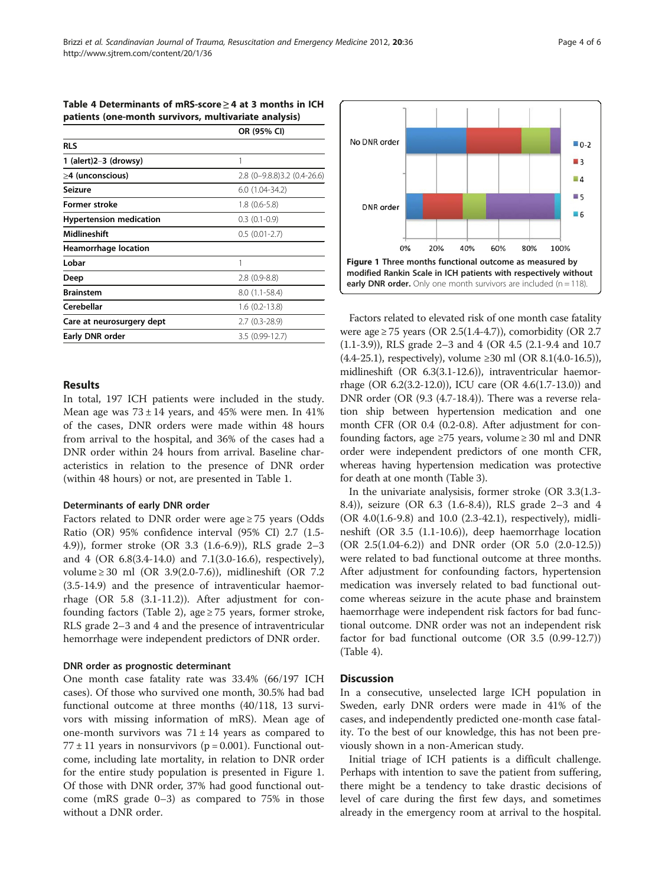| patients (one-month survivors, multivariate analysis) |                                  |  |
|-------------------------------------------------------|----------------------------------|--|
|                                                       | OR (95% CI)                      |  |
| <b>RLS</b>                                            |                                  |  |
| 1 (alert) $2-3$ (drowsy)                              |                                  |  |
| $\geq$ 4 (unconscious)                                | $2.8$ (0-9.8.8) $3.2$ (0.4-26.6) |  |
| Seizure                                               | $6.0(1.04-34.2)$                 |  |
| <b>Former stroke</b>                                  | $1.8(0.6-5.8)$                   |  |
| <b>Hypertension medication</b>                        | $0.3$ $(0.1-0.9)$                |  |
| <b>Midlineshift</b>                                   | $0.5(0.01-2.7)$                  |  |
| <b>Heamorrhage location</b>                           |                                  |  |
| Lobar                                                 | 1                                |  |
| Deep                                                  | $2.8(0.9-8.8)$                   |  |
| <b>Brainstem</b>                                      | 8.0 (1.1-58.4)                   |  |
| Cerebellar                                            | $1.6(0.2-13.8)$                  |  |
| Care at neurosurgery dept                             | $2.7(0.3-28.9)$                  |  |
| Early DNR order                                       | 3.5 (0.99-12.7)                  |  |
|                                                       |                                  |  |

<span id="page-3-0"></span>Table 4 Determinants of mRS-score ≥ 4 at 3 months in ICH

#### Results

In total, 197 ICH patients were included in the study. Mean age was  $73 \pm 14$  years, and 45% were men. In 41% of the cases, DNR orders were made within 48 hours from arrival to the hospital, and 36% of the cases had a DNR order within 24 hours from arrival. Baseline characteristics in relation to the presence of DNR order (within 48 hours) or not, are presented in Table [1](#page-2-0).

#### Determinants of early DNR order

Factors related to DNR order were age  $\geq$  75 years (Odds Ratio (OR) 95% confidence interval (95% CI) 2.7 (1.5- 4.9)), former stroke (OR 3.3 (1.6-6.9)), RLS grade 2–3 and 4 (OR 6.8(3.4-14.0) and 7.1(3.0-16.6), respectively), volume ≥ 30 ml (OR 3.9(2.0-7.6)), midlineshift (OR 7.2 (3.5-14.9) and the presence of intraventicular haemorrhage (OR 5.8 (3.1-11.2)). After adjustment for con-founding factors (Table [2](#page-2-0)), age  $\geq$  75 years, former stroke, RLS grade 2–3 and 4 and the presence of intraventricular hemorrhage were independent predictors of DNR order.

#### DNR order as prognostic determinant

One month case fatality rate was 33.4% (66/197 ICH cases). Of those who survived one month, 30.5% had bad functional outcome at three months (40/118, 13 survivors with missing information of mRS). Mean age of one-month survivors was  $71 \pm 14$  years as compared to  $77 \pm 11$  years in nonsurvivors ( $p = 0.001$ ). Functional outcome, including late mortality, in relation to DNR order for the entire study population is presented in Figure 1. Of those with DNR order, 37% had good functional outcome (mRS grade 0–3) as compared to 75% in those without a DNR order.



Factors related to elevated risk of one month case fatality were age ≥ 75 years (OR 2.5(1.4-4.7)), comorbidity (OR 2.7 (1.1-3.9)), RLS grade 2–3 and 4 (OR 4.5 (2.1-9.4 and 10.7 (4.4-25.1), respectively), volume ≥30 ml (OR 8.1(4.0-16.5)), midlineshift (OR 6.3(3.1-12.6)), intraventricular haemorrhage (OR 6.2(3.2-12.0)), ICU care (OR 4.6(1.7-13.0)) and DNR order (OR (9.3 (4.7-18.4)). There was a reverse relation ship between hypertension medication and one month CFR (OR 0.4 (0.2-0.8). After adjustment for confounding factors, age  $\geq$ 75 years, volume  $\geq$  30 ml and DNR order were independent predictors of one month CFR, whereas having hypertension medication was protective for death at one month (Table [3\)](#page-2-0).

In the univariate analysisis, former stroke (OR 3.3(1.3- 8.4)), seizure (OR 6.3 (1.6-8.4)), RLS grade 2–3 and 4 (OR 4.0(1.6-9.8) and 10.0 (2.3-42.1), respectively), midlineshift (OR 3.5 (1.1-10.6)), deep haemorrhage location (OR 2.5(1.04-6.2)) and DNR order (OR 5.0 (2.0-12.5)) were related to bad functional outcome at three months. After adjustment for confounding factors, hypertension medication was inversely related to bad functional outcome whereas seizure in the acute phase and brainstem haemorrhage were independent risk factors for bad functional outcome. DNR order was not an independent risk factor for bad functional outcome (OR 3.5 (0.99-12.7)) (Table 4).

#### **Discussion**

In a consecutive, unselected large ICH population in Sweden, early DNR orders were made in 41% of the cases, and independently predicted one-month case fatality. To the best of our knowledge, this has not been previously shown in a non-American study.

Initial triage of ICH patients is a difficult challenge. Perhaps with intention to save the patient from suffering, there might be a tendency to take drastic decisions of level of care during the first few days, and sometimes already in the emergency room at arrival to the hospital.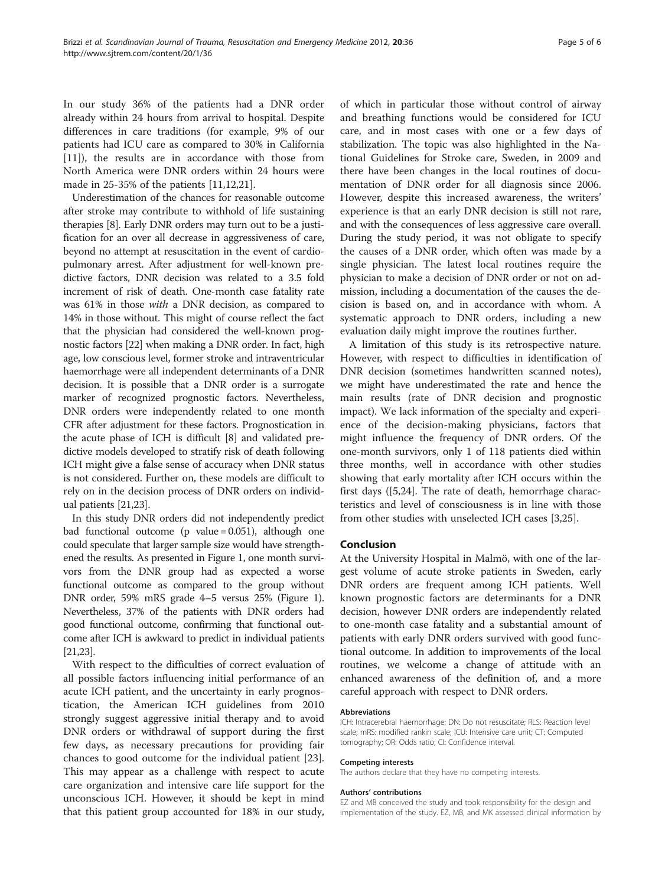In our study 36% of the patients had a DNR order already within 24 hours from arrival to hospital. Despite differences in care traditions (for example, 9% of our patients had ICU care as compared to 30% in California [[11\]](#page-5-0)), the results are in accordance with those from North America were DNR orders within 24 hours were made in 25-35% of the patients [\[11,12,21\]](#page-5-0).

Underestimation of the chances for reasonable outcome after stroke may contribute to withhold of life sustaining therapies [\[8](#page-5-0)]. Early DNR orders may turn out to be a justification for an over all decrease in aggressiveness of care, beyond no attempt at resuscitation in the event of cardiopulmonary arrest. After adjustment for well-known predictive factors, DNR decision was related to a 3.5 fold increment of risk of death. One-month case fatality rate was 61% in those with a DNR decision, as compared to 14% in those without. This might of course reflect the fact that the physician had considered the well-known prognostic factors [\[22\]](#page-5-0) when making a DNR order. In fact, high age, low conscious level, former stroke and intraventricular haemorrhage were all independent determinants of a DNR decision. It is possible that a DNR order is a surrogate marker of recognized prognostic factors. Nevertheless, DNR orders were independently related to one month CFR after adjustment for these factors. Prognostication in the acute phase of ICH is difficult [[8](#page-5-0)] and validated predictive models developed to stratify risk of death following ICH might give a false sense of accuracy when DNR status is not considered. Further on, these models are difficult to rely on in the decision process of DNR orders on individual patients [\[21,23](#page-5-0)].

In this study DNR orders did not independently predict bad functional outcome (p value = 0.051), although one could speculate that larger sample size would have strengthened the results. As presented in Figure [1,](#page-3-0) one month survivors from the DNR group had as expected a worse functional outcome as compared to the group without DNR order, 59% mRS grade 4–5 versus 25% (Figure [1](#page-3-0)). Nevertheless, 37% of the patients with DNR orders had good functional outcome, confirming that functional outcome after ICH is awkward to predict in individual patients [[21,23](#page-5-0)].

With respect to the difficulties of correct evaluation of all possible factors influencing initial performance of an acute ICH patient, and the uncertainty in early prognostication, the American ICH guidelines from 2010 strongly suggest aggressive initial therapy and to avoid DNR orders or withdrawal of support during the first few days, as necessary precautions for providing fair chances to good outcome for the individual patient [\[23](#page-5-0)]. This may appear as a challenge with respect to acute care organization and intensive care life support for the unconscious ICH. However, it should be kept in mind that this patient group accounted for 18% in our study,

of which in particular those without control of airway and breathing functions would be considered for ICU care, and in most cases with one or a few days of stabilization. The topic was also highlighted in the National Guidelines for Stroke care, Sweden, in 2009 and there have been changes in the local routines of documentation of DNR order for all diagnosis since 2006. However, despite this increased awareness, the writers' experience is that an early DNR decision is still not rare, and with the consequences of less aggressive care overall. During the study period, it was not obligate to specify the causes of a DNR order, which often was made by a single physician. The latest local routines require the physician to make a decision of DNR order or not on admission, including a documentation of the causes the decision is based on, and in accordance with whom. A systematic approach to DNR orders, including a new evaluation daily might improve the routines further.

A limitation of this study is its retrospective nature. However, with respect to difficulties in identification of DNR decision (sometimes handwritten scanned notes), we might have underestimated the rate and hence the main results (rate of DNR decision and prognostic impact). We lack information of the specialty and experience of the decision-making physicians, factors that might influence the frequency of DNR orders. Of the one-month survivors, only 1 of 118 patients died within three months, well in accordance with other studies showing that early mortality after ICH occurs within the first days ([[5,24\]](#page-5-0). The rate of death, hemorrhage characteristics and level of consciousness is in line with those from other studies with unselected ICH cases [[3](#page-5-0),[25](#page-5-0)].

#### Conclusion

At the University Hospital in Malmö, with one of the largest volume of acute stroke patients in Sweden, early DNR orders are frequent among ICH patients. Well known prognostic factors are determinants for a DNR decision, however DNR orders are independently related to one-month case fatality and a substantial amount of patients with early DNR orders survived with good functional outcome. In addition to improvements of the local routines, we welcome a change of attitude with an enhanced awareness of the definition of, and a more careful approach with respect to DNR orders.

#### Abbreviations

ICH: Intracerebral haemorrhage; DN: Do not resuscitate; RLS: Reaction level scale; mRS: modified rankin scale; ICU: Intensive care unit; CT: Computed tomography; OR: Odds ratio; CI: Confidence interval.

#### Competing interests

The authors declare that they have no competing interests.

#### Authors' contributions

EZ and MB conceived the study and took responsibility for the design and implementation of the study. EZ, MB, and MK assessed clinical information by